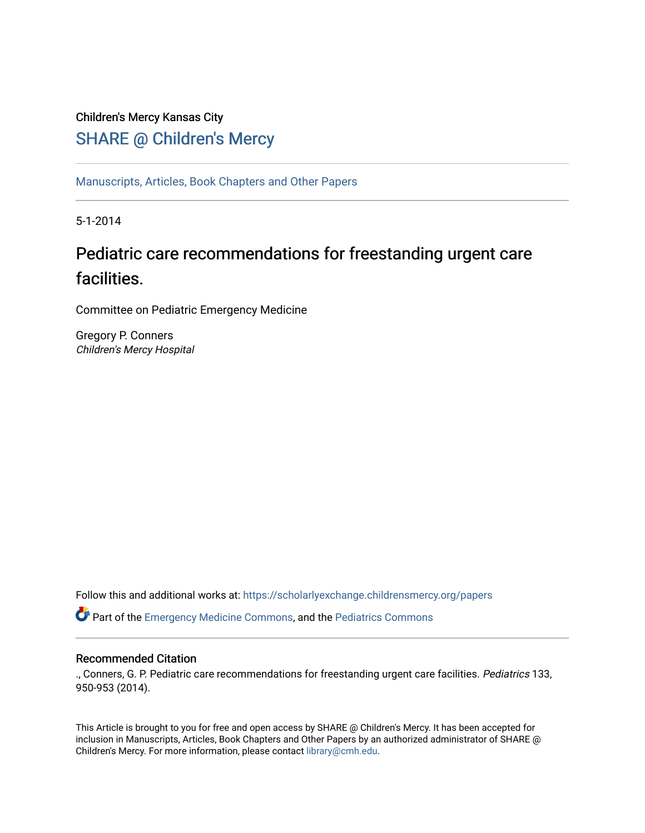### Children's Mercy Kansas City SHARE @ Children's Mercy

[Manuscripts, Articles, Book Chapters and Other Papers](https://scholarlyexchange.childrensmercy.org/papers)

5-1-2014

# Pediatric care recommendations for freestanding urgent care facilities.

Committee on Pediatric Emergency Medicine

Gregory P. Conners Children's Mercy Hospital

Follow this and additional works at: [https://scholarlyexchange.childrensmercy.org/papers](https://scholarlyexchange.childrensmercy.org/papers?utm_source=scholarlyexchange.childrensmercy.org%2Fpapers%2F177&utm_medium=PDF&utm_campaign=PDFCoverPages) 

Part of the [Emergency Medicine Commons](http://network.bepress.com/hgg/discipline/685?utm_source=scholarlyexchange.childrensmercy.org%2Fpapers%2F177&utm_medium=PDF&utm_campaign=PDFCoverPages), and the [Pediatrics Commons](http://network.bepress.com/hgg/discipline/700?utm_source=scholarlyexchange.childrensmercy.org%2Fpapers%2F177&utm_medium=PDF&utm_campaign=PDFCoverPages)

#### Recommended Citation

., Conners, G. P. Pediatric care recommendations for freestanding urgent care facilities. Pediatrics 133, 950-953 (2014).

This Article is brought to you for free and open access by SHARE @ Children's Mercy. It has been accepted for inclusion in Manuscripts, Articles, Book Chapters and Other Papers by an authorized administrator of SHARE @ Children's Mercy. For more information, please contact [library@cmh.edu](mailto:library@cmh.edu).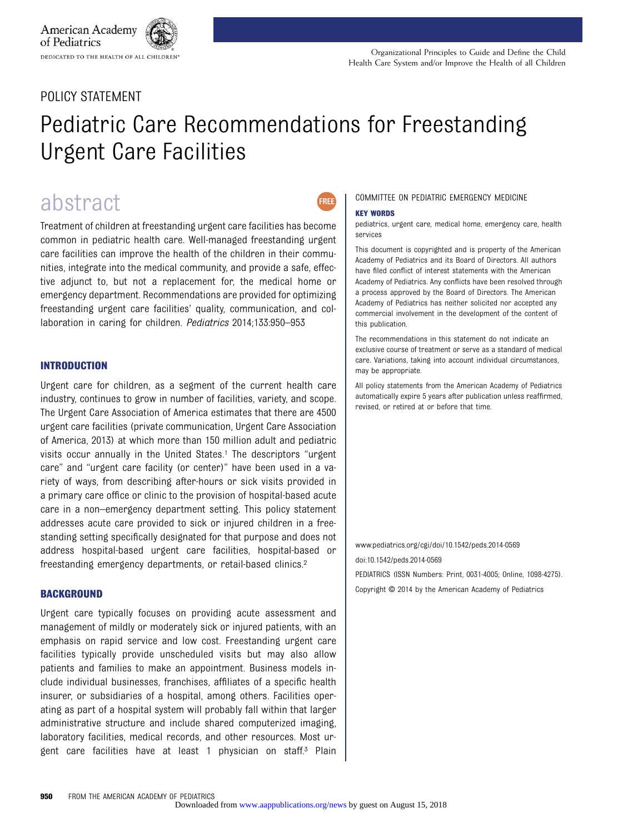#### POLICY STATEMENT

DEDICATED TO THE HEALTH OF ALL CHILDREN'

American Academy

of Pediatrics

# Pediatric Care Recommendations for Freestanding Urgent Care Facilities

# abstract

Treatment of children at freestanding urgent care facilities has become common in pediatric health care. Well-managed freestanding urgent care facilities can improve the health of the children in their communities, integrate into the medical community, and provide a safe, effective adjunct to, but not a replacement for, the medical home or emergency department. Recommendations are provided for optimizing freestanding urgent care facilities' quality, communication, and collaboration in caring for children. Pediatrics 2014;133:950-953

#### **INTRODUCTION**

Urgent care for children, as a segment of the current health care industry, continues to grow in number of facilities, variety, and scope. The Urgent Care Association of America estimates that there are 4500 urgent care facilities (private communication, Urgent Care Association of America, 2013) at which more than 150 million adult and pediatric visits occur annually in the United States.<sup>1</sup> The descriptors "urgent care" and "urgent care facility (or center)" have been used in a variety of ways, from describing after-hours or sick visits provided in a primary care office or clinic to the provision of hospital-based acute care in a non–emergency department setting. This policy statement addresses acute care provided to sick or injured children in a freestanding setting specifically designated for that purpose and does not address hospital-based urgent care facilities, hospital-based or freestanding emergency departments, or retail-based clinics.2

#### BACKGROUND

Urgent care typically focuses on providing acute assessment and management of mildly or moderately sick or injured patients, with an emphasis on rapid service and low cost. Freestanding urgent care facilities typically provide unscheduled visits but may also allow patients and families to make an appointment. Business models include individual businesses, franchises, affiliates of a specific health insurer, or subsidiaries of a hospital, among others. Facilities operating as part of a hospital system will probably fall within that larger administrative structure and include shared computerized imaging, laboratory facilities, medical records, and other resources. Most urgent care facilities have at least 1 physician on staff<sup>3</sup> Plain

#### COMMITTEE ON PEDIATRIC EMERGENCY MEDICINE

#### KEY WORDS

FREE

pediatrics, urgent care, medical home, emergency care, health services

This document is copyrighted and is property of the American Academy of Pediatrics and its Board of Directors. All authors have filed conflict of interest statements with the American Academy of Pediatrics. Any conflicts have been resolved through a process approved by the Board of Directors. The American Academy of Pediatrics has neither solicited nor accepted any commercial involvement in the development of the content of this publication.

The recommendations in this statement do not indicate an exclusive course of treatment or serve as a standard of medical care. Variations, taking into account individual circumstances, may be appropriate.

All policy statements from the American Academy of Pediatrics automatically expire 5 years after publication unless reaffirmed, revised, or retired at or before that time.

www.pediatrics.org/cgi/doi/10.1542/peds.2014-0569 doi:10.1542/peds.2014-0569

PEDIATRICS (ISSN Numbers: Print, 0031-4005; Online, 1098-4275). Copyright © 2014 by the American Academy of Pediatrics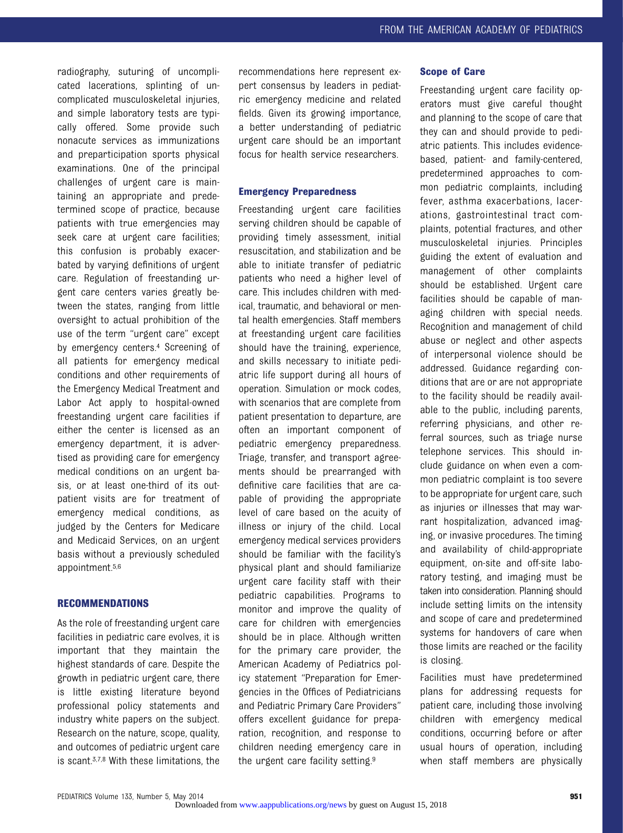radiography, suturing of uncomplicated lacerations, splinting of uncomplicated musculoskeletal injuries, and simple laboratory tests are typically offered. Some provide such nonacute services as immunizations and preparticipation sports physical examinations. One of the principal challenges of urgent care is maintaining an appropriate and predetermined scope of practice, because patients with true emergencies may seek care at urgent care facilities; this confusion is probably exacerbated by varying definitions of urgent care. Regulation of freestanding urgent care centers varies greatly between the states, ranging from little oversight to actual prohibition of the use of the term "urgent care" except by emergency centers.4 Screening of all patients for emergency medical conditions and other requirements of the Emergency Medical Treatment and Labor Act apply to hospital-owned freestanding urgent care facilities if either the center is licensed as an emergency department, it is advertised as providing care for emergency medical conditions on an urgent basis, or at least one-third of its outpatient visits are for treatment of emergency medical conditions, as judged by the Centers for Medicare and Medicaid Services, on an urgent basis without a previously scheduled appointment.5,6

#### RECOMMENDATIONS

As the role of freestanding urgent care facilities in pediatric care evolves, it is important that they maintain the highest standards of care. Despite the growth in pediatric urgent care, there is little existing literature beyond professional policy statements and industry white papers on the subject. Research on the nature, scope, quality, and outcomes of pediatric urgent care is scant.3,7,8 With these limitations, the

recommendations here represent expert consensus by leaders in pediatric emergency medicine and related fields. Given its growing importance, a better understanding of pediatric urgent care should be an important focus for health service researchers.

#### Emergency Preparedness

Freestanding urgent care facilities serving children should be capable of providing timely assessment, initial resuscitation, and stabilization and be able to initiate transfer of pediatric patients who need a higher level of care. This includes children with medical, traumatic, and behavioral or mental health emergencies. Staff members at freestanding urgent care facilities should have the training, experience, and skills necessary to initiate pediatric life support during all hours of operation. Simulation or mock codes, with scenarios that are complete from patient presentation to departure, are often an important component of pediatric emergency preparedness. Triage, transfer, and transport agreements should be prearranged with definitive care facilities that are capable of providing the appropriate level of care based on the acuity of illness or injury of the child. Local emergency medical services providers should be familiar with the facility's physical plant and should familiarize urgent care facility staff with their pediatric capabilities. Programs to monitor and improve the quality of care for children with emergencies should be in place. Although written for the primary care provider, the American Academy of Pediatrics policy statement "Preparation for Emergencies in the Offices of Pediatricians and Pediatric Primary Care Providers" offers excellent guidance for preparation, recognition, and response to children needing emergency care in the urgent care facility setting.9

#### Scope of Care

Freestanding urgent care facility operators must give careful thought and planning to the scope of care that they can and should provide to pediatric patients. This includes evidencebased, patient- and family-centered, predetermined approaches to common pediatric complaints, including fever, asthma exacerbations, lacerations, gastrointestinal tract complaints, potential fractures, and other musculoskeletal injuries. Principles guiding the extent of evaluation and management of other complaints should be established. Urgent care facilities should be capable of managing children with special needs. Recognition and management of child abuse or neglect and other aspects of interpersonal violence should be addressed. Guidance regarding conditions that are or are not appropriate to the facility should be readily available to the public, including parents, referring physicians, and other referral sources, such as triage nurse telephone services. This should include guidance on when even a common pediatric complaint is too severe to be appropriate for urgent care, such as injuries or illnesses that may warrant hospitalization, advanced imaging, or invasive procedures. The timing and availability of child-appropriate equipment, on-site and off-site laboratory testing, and imaging must be taken into consideration. Planning should include setting limits on the intensity and scope of care and predetermined systems for handovers of care when those limits are reached or the facility is closing.

Facilities must have predetermined plans for addressing requests for patient care, including those involving children with emergency medical conditions, occurring before or after usual hours of operation, including when staff members are physically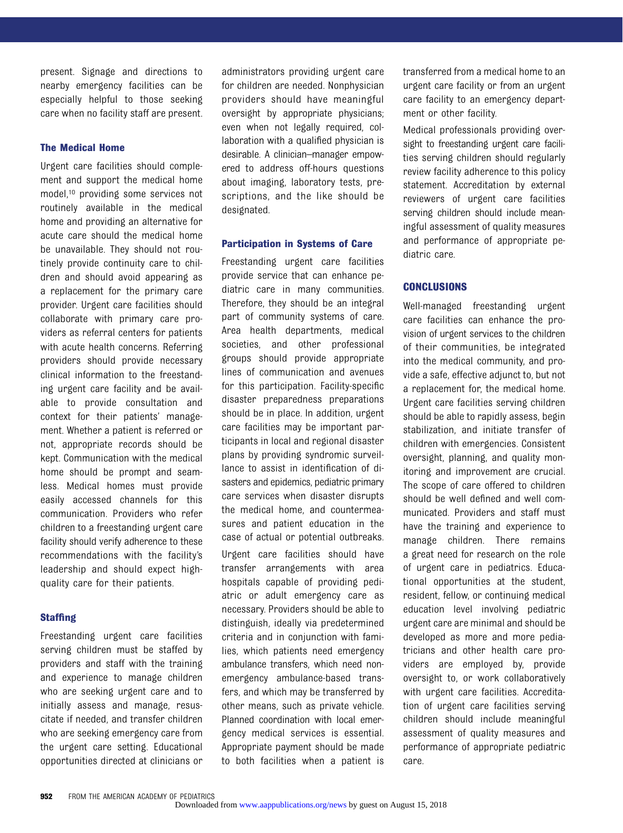present. Signage and directions to nearby emergency facilities can be especially helpful to those seeking care when no facility staff are present.

#### The Medical Home

Urgent care facilities should complement and support the medical home model,10 providing some services not routinely available in the medical home and providing an alternative for acute care should the medical home be unavailable. They should not routinely provide continuity care to children and should avoid appearing as a replacement for the primary care provider. Urgent care facilities should collaborate with primary care providers as referral centers for patients with acute health concerns. Referring providers should provide necessary clinical information to the freestanding urgent care facility and be available to provide consultation and context for their patients' management. Whether a patient is referred or not, appropriate records should be kept. Communication with the medical home should be prompt and seamless. Medical homes must provide easily accessed channels for this communication. Providers who refer children to a freestanding urgent care facility should verify adherence to these recommendations with the facility's leadership and should expect highquality care for their patients.

#### **Staffing**

Freestanding urgent care facilities serving children must be staffed by providers and staff with the training and experience to manage children who are seeking urgent care and to initially assess and manage, resuscitate if needed, and transfer children who are seeking emergency care from the urgent care setting. Educational opportunities directed at clinicians or administrators providing urgent care for children are needed. Nonphysician providers should have meaningful oversight by appropriate physicians; even when not legally required, collaboration with a qualified physician is desirable. A clinician–manager empowered to address off-hours questions about imaging, laboratory tests, prescriptions, and the like should be designated.

#### Participation in Systems of Care

Freestanding urgent care facilities provide service that can enhance pediatric care in many communities. Therefore, they should be an integral part of community systems of care. Area health departments, medical societies, and other professional groups should provide appropriate lines of communication and avenues for this participation. Facility-specific disaster preparedness preparations should be in place. In addition, urgent care facilities may be important participants in local and regional disaster plans by providing syndromic surveillance to assist in identification of disasters and epidemics, pediatric primary care services when disaster disrupts the medical home, and countermeasures and patient education in the case of actual or potential outbreaks. Urgent care facilities should have transfer arrangements with area hospitals capable of providing pediatric or adult emergency care as necessary. Providers should be able to distinguish, ideally via predetermined criteria and in conjunction with families, which patients need emergency ambulance transfers, which need nonemergency ambulance-based transfers, and which may be transferred by other means, such as private vehicle. Planned coordination with local emergency medical services is essential. Appropriate payment should be made to both facilities when a patient is

transferred from a medical home to an urgent care facility or from an urgent care facility to an emergency department or other facility.

Medical professionals providing oversight to freestanding urgent care facilities serving children should regularly review facility adherence to this policy statement. Accreditation by external reviewers of urgent care facilities serving children should include meaningful assessment of quality measures and performance of appropriate pediatric care.

#### **CONCLUSIONS**

Well-managed freestanding urgent care facilities can enhance the provision of urgent services to the children of their communities, be integrated into the medical community, and provide a safe, effective adjunct to, but not a replacement for, the medical home. Urgent care facilities serving children should be able to rapidly assess, begin stabilization, and initiate transfer of children with emergencies. Consistent oversight, planning, and quality monitoring and improvement are crucial. The scope of care offered to children should be well defined and well communicated. Providers and staff must have the training and experience to manage children. There remains a great need for research on the role of urgent care in pediatrics. Educational opportunities at the student, resident, fellow, or continuing medical education level involving pediatric urgent care are minimal and should be developed as more and more pediatricians and other health care providers are employed by, provide oversight to, or work collaboratively with urgent care facilities. Accreditation of urgent care facilities serving children should include meaningful assessment of quality measures and performance of appropriate pediatric care.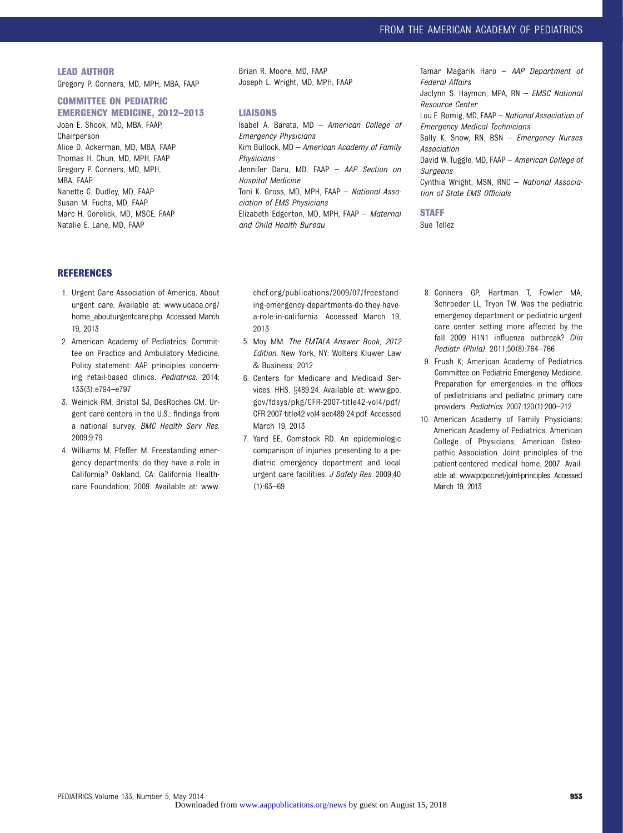#### LEAD AUTHOR

Gregory P. Conners, MD, MPH, MBA, FAAP

#### COMMITTEE ON PEDIATRIC EMERGENCY MEDICINE, 2012–2013

Joan E. Shook, MD, MBA, FAAP, Chairperson Alice D. Ackerman, MD, MBA, FAAP Thomas H. Chun, MD, MPH, FAAP Gregory P. Conners, MD, MPH, MBA, FAAP Nanette C. Dudley, MD, FAAP Susan M. Fuchs, MD, FAAP Marc H. Gorelick, MD, MSCE, FAAP Natalie E. Lane, MD, FAAP

Brian R. Moore, MD, FAAP Joseph L. Wright, MD, MPH, FAAP

#### LIAISONS

Isabel A. Barata, MD – American College of Emergency Physicians Kim Bullock, MD – American Academy of Family **Physicians** Jennifer Daru, MD, FAAP - AAP Section on Hospital Medicine Toni K. Gross, MD, MPH, FAAP - National Association of EMS Physicians Elizabeth Edgerton, MD, MPH, FAAP – Maternal and Child Health Bureau

Tamar Magarik Haro – AAP Department of Federal Affairs

Jaclynn S. Haymon, MPA, RN - EMSC National Resource Center

Lou E. Romig, MD, FAAP – National Association of Emergency Medical Technicians

Sally K. Snow, RN, BSN - Emergency Nurses Association

David W. Tuggle, MD, FAAP – American College of **Surgeons** 

Cynthia Wright, MSN, RNC – National Association of State EMS Officials

#### **STAFF**

Sue Tellez

#### **REFERENCES**

- 1. Urgent Care Association of America. About urgent care. Available at: [www.ucaoa.org/](www.ucaoa.org/home_abouturgentcare.php) [home\\_abouturgentcare.php](www.ucaoa.org/home_abouturgentcare.php). Accessed March 19, 2013
- 2. American Academy of Pediatrics, Committee on Practice and Ambulatory Medicine. Policy statement: AAP principles concerning retail-based clinics. Pediatrics. 2014; 133(3):e794–e797
- 3. Weinick RM, Bristol SJ, DesRoches CM. Urgent care centers in the U.S.: findings from a national survey. BMC Health Serv Res. 2009;9:79
- 4. Williams M, Pfeffer M. Freestanding emergency departments: do they have a role in California? Oakland, CA: California Healthcare Foundation; 2009. Available at: [www.](www.chcf.org/publications/2009/07/freestanding-emergency-departments-do-they-have-a-role-in-california)

[chcf.org/publications/2009/07/freestand](www.chcf.org/publications/2009/07/freestanding-emergency-departments-do-they-have-a-role-in-california)[ing-emergency-departments-do-they-have](www.chcf.org/publications/2009/07/freestanding-emergency-departments-do-they-have-a-role-in-california)[a-role-in-california.](www.chcf.org/publications/2009/07/freestanding-emergency-departments-do-they-have-a-role-in-california) Accessed March 19, 2013

- 5. Moy MM. The EMTALA Answer Book, 2012 Edition. New York, NY: Wolters Kluwer Law & Business; 2012
- 6. Centers for Medicare and Medicaid Services. HHS. §489.24. Available at: [www.gpo.](www.gpo.gov/fdsys/pkg/CFR-2007-title42-vol4/pdf/CFR-2007-title42-vol4-sec489-24.pdf) [gov/fdsys/pkg/CFR-2007-title42-vol4/pdf/](www.gpo.gov/fdsys/pkg/CFR-2007-title42-vol4/pdf/CFR-2007-title42-vol4-sec489-24.pdf) [CFR-2007-title42-vol4-sec489-24.pdf](www.gpo.gov/fdsys/pkg/CFR-2007-title42-vol4/pdf/CFR-2007-title42-vol4-sec489-24.pdf). Accessed March 19, 2013
- 7. Yard EE, Comstock RD. An epidemiologic comparison of injuries presenting to a pediatric emergency department and local urgent care facilities. J Safety Res. 2009;40 (1):63–69
- 8. Conners GP, Hartman T, Fowler MA, Schroeder LL, Tryon TW. Was the pediatric emergency department or pediatric urgent care center setting more affected by the fall 2009 H1N1 influenza outbreak? Clin Pediatr (Phila). 2011;50(8):764–766
- 9. Frush K; American Academy of Pediatrics Committee on Pediatric Emergency Medicine. Preparation for emergencies in the offices of pediatricians and pediatric primary care providers. Pediatrics. 2007;120(1):200–212
- 10. American Academy of Family Physicians; American Academy of Pediatrics. American College of Physicians; American Osteopathic Association. Joint principles of the patient-centered medical home. 2007. Available at: [www.pcpcc.net/joint-principles.](www.pcpcc.net/joint-principles) Accessed March 19, 2013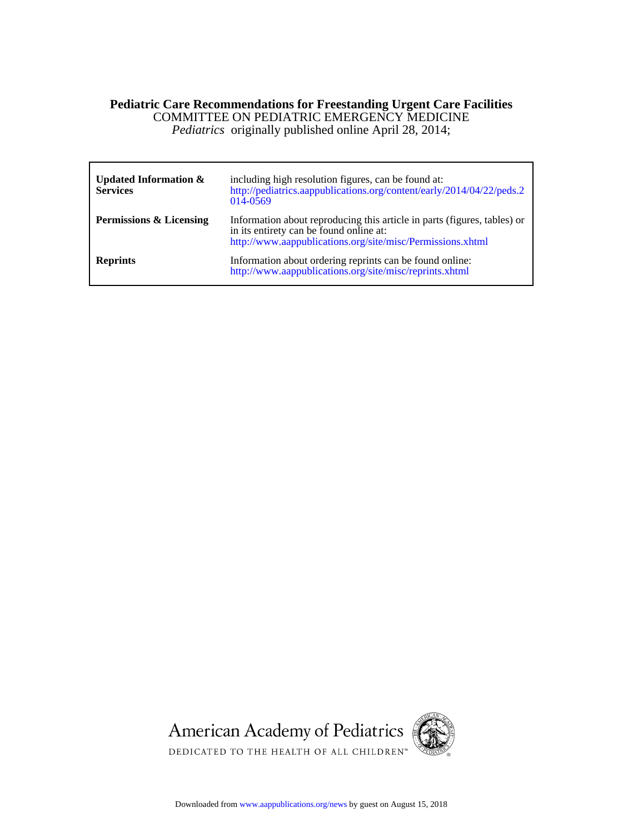#### COMMITTEE ON PEDIATRIC EMERGENCY MEDICINE **Pediatric Care Recommendations for Freestanding Urgent Care Facilities**

*Pediatrics* originally published online April 28, 2014;

| <b>Updated Information &amp;</b><br><b>Services</b> | including high resolution figures, can be found at:<br>http://pediatrics.aappublications.org/content/early/2014/04/22/peds.2<br>014-0569                                          |
|-----------------------------------------------------|-----------------------------------------------------------------------------------------------------------------------------------------------------------------------------------|
| <b>Permissions &amp; Licensing</b>                  | Information about reproducing this article in parts (figures, tables) or<br>in its entirety can be found online at:<br>http://www.aappublications.org/site/misc/Permissions.xhtml |
| <b>Reprints</b>                                     | Information about ordering reprints can be found online:<br>http://www.aappublications.org/site/misc/reprints.xhtml                                                               |